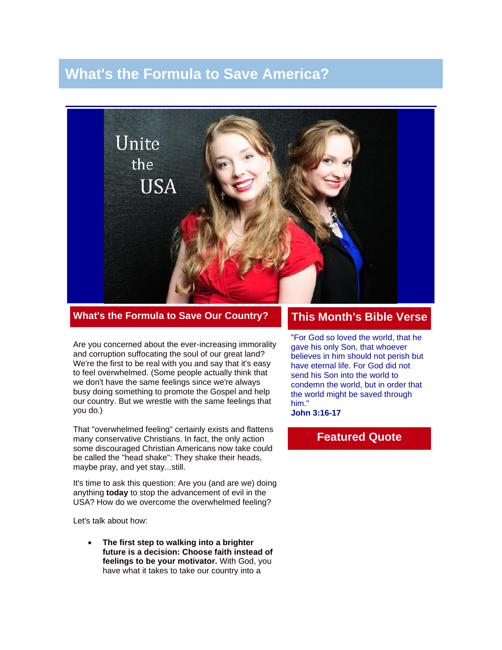# **What's the Formula to Save America?**



**What's the Formula to Save Our Country?**

Are you concerned about the ever-increasing immorality and corruption suffocating the soul of our great land? We're the first to be real with you and say that it's easy to feel overwhelmed. (Some people actually think that we don't have the same feelings since we're always busy doing something to promote the Gospel and help our country. But we wrestle with the same feelings that you do.)

That "overwhelmed feeling" certainly exists and flattens many conservative Christians. In fact, the only action some discouraged Christian Americans now take could be called the "head shake": They shake their heads, maybe pray, and yet stay...still.

It's time to ask this question: Are you (and are we) doing anything **today** to stop the advancement of evil in the USA? How do we overcome the overwhelmed feeling?

Let's talk about how:

• **The first step to walking into a brighter future is a decision: Choose faith instead of feelings to be your motivator.** With God, you have what it takes to take our country into a

#### **This Month's Bible Verse**

"For God so loved the world, that he gave his only Son, that whoever believes in him should not perish but have eternal life. For God did not send his Son into the world to condemn the world, but in order that the world might be saved through him."

**John 3:16-17**

#### **Featured Quote**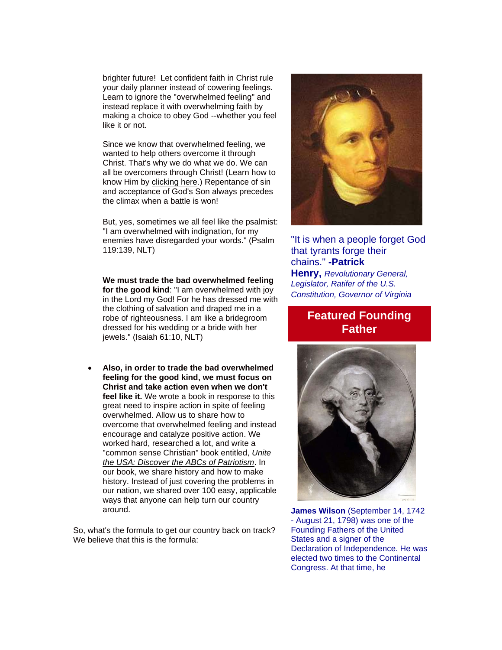brighter future! Let confident faith in Christ rule your daily planner instead of cowering feelings. Learn to ignore the "overwhelmed feeling" and instead replace it with overwhelming faith by making a choice to obey God --whether you feel like it or not.

Since we know that overwhelmed feeling, we wanted to help others overcome it through Christ. That's why we do what we do. We can all be overcomers through Christ! (Learn how to know Him by [clicking here.](http://prayingpals.org/knowgod.html)) Repentance of sin and acceptance of God's Son always precedes the climax when a battle is won!

But, yes, sometimes we all feel like the psalmist: "I am overwhelmed with indignation, for my enemies have disregarded your words." (Psalm 119:139, NLT)

**We must trade the bad overwhelmed feeling for the good kind**: "I am overwhelmed with joy in the Lord my God! For he has dressed me with the clothing of salvation and draped me in a robe of righteousness. I am like a bridegroom dressed for his wedding or a bride with her jewels." (Isaiah 61:10, NLT)

• **Also, in order to trade the bad overwhelmed feeling for the good kind, we must focus on Christ and take action even when we don't feel like it.** We wrote a book in response to this great need to inspire action in spite of feeling overwhelmed. Allow us to share how to overcome that overwhelmed feeling and instead encourage and catalyze positive action. We worked hard, researched a lot, and write a "common sense Christian" book entitled, *[Unite](http://unitetheusa.org/id56.html)  [the USA: Discover the ABCs of Patriotism](http://unitetheusa.org/id56.html)*. In our book, we share history and how to make history. Instead of just covering the problems in our nation, we shared over 100 easy, applicable ways that anyone can help turn our country around.

So, what's the formula to get our country back on track? We believe that this is the formula:



#### "It is when a people forget God that tyrants forge their chains." **-Patrick**

**Henry,** *Revolutionary General, Legislator, Ratifer of the U.S. Constitution, Governor of Virginia*

### **Featured Founding Father**



**James Wilson** (September 14, 1742 - August 21, 1798) was one of the Founding Fathers of the United States and a signer of the Declaration of Independence. He was elected two times to the Continental Congress. At that time, he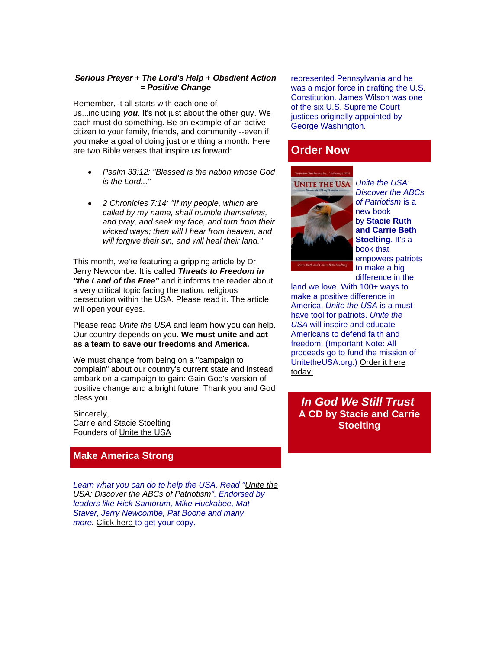#### *Serious Prayer + The Lord's Help + Obedient Action = Positive Change*

Remember, it all starts with each one of us...including *you*. It's not just about the other guy. We each must do something. Be an example of an active citizen to your family, friends, and community --even if you make a goal of doing just one thing a month. Here are two Bible verses that inspire us forward:

- *Psalm 33:12: "Blessed is the nation whose God is the Lord..."*
- *2 Chronicles 7:14: "If my people, which are called by my name, shall humble themselves, and pray, and seek my face, and turn from their wicked ways; then will I hear from heaven, and will forgive their sin, and will heal their land."*

This month, we're featuring a gripping article by Dr. Jerry Newcombe. It is called *Threats to Freedom in "the Land of the Free"* and it informs the reader about a very critical topic facing the nation: religious persecution within the USA. Please read it. The article will open your eyes.

Please read *[Unite the USA](http://unitetheusa.org/id56.html)* and learn how you can help. Our country depends on you. **We must unite and act as a team to save our freedoms and America.**

We must change from being on a "campaign to complain" about our country's current state and instead embark on a campaign to gain: Gain God's version of positive change and a bright future! Thank you and God bless you.

Sincerely, Carrie and Stacie Stoelting Founders of [Unite the USA](http://unitetheusa.org/index.html)

#### **Make America Strong**

*Learn what you can do to help the USA. Read ["Unite the](http://unitetheusa.org/id56.html)  [USA: Discover the ABCs of Patriotism"](http://unitetheusa.org/id56.html). Endorsed by leaders like Rick Santorum, Mike Huckabee, Mat Staver, Jerry Newcombe, Pat Boone and many more.* [Click here](http://unitetheusa.org/id56.html) to get your copy.

represented Pennsylvania and he was a major force in drafting the U.S. Constitution. James Wilson was one of the six U.S. Supreme Court justices originally appointed by George Washington.

#### **Order Now**



*Discover the ABCs of Patriotism* is a new book by **Stacie Ruth and Carrie Beth Stoelting**. It's a book that empowers patriots to make a big difference in the

land we love. With 100+ ways to make a positive difference in America, *Unite the USA* is a musthave tool for patriots. *Unite the USA* will inspire and educate Americans to defend faith and freedom. (Important Note: All proceeds go to fund the mission of UnitetheUSA.org.) [Order it here](http://unitetheusa.org/id56.html)  [today!](http://unitetheusa.org/id56.html)

*In God We Still Trust* **A CD by Stacie and Carrie Stoelting**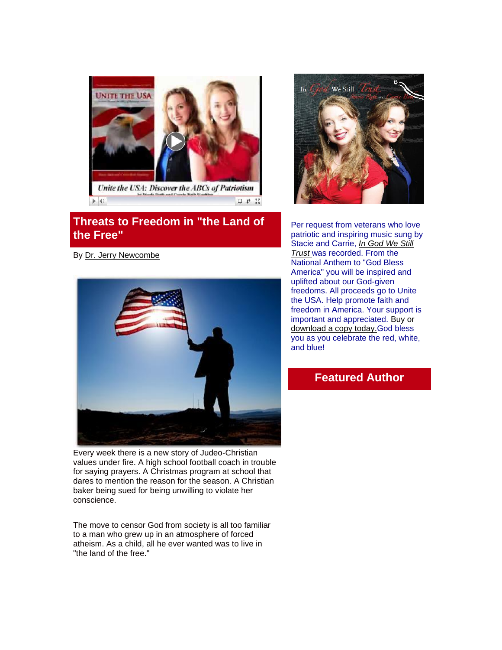

# **Threats to Freedom in "the Land of the Free"**

By [Dr. Jerry Newcombe](http://www.jerrynewcombe.com/)



Every week there is a new story of Judeo-Christian values under fire. A high school football coach in trouble for saying prayers. A Christmas program at school that dares to mention the reason for the season. A Christian baker being sued for being unwilling to violate her conscience.

The move to censor God from society is all too familiar to a man who grew up in an atmosphere of forced atheism. As a child, all he ever wanted was to live in "the land of the free."



Per request from veterans who love patriotic and inspiring music sung by Stacie and Carrie, *[In God We Still](http://unitetheusa.org/id56.html)  [Trust](http://unitetheusa.org/id56.html)* was recorded. From the National Anthem to "God Bless America" you will be inspired and uplifted about our God-given freedoms. All proceeds go to Unite the USA. Help promote faith and freedom in America. Your support is important and appreciated. [Buy or](http://unitetheusa.org/id56.html)  [download a copy today.G](http://unitetheusa.org/id56.html)od bless you as you celebrate the red, white, and blue!

### **Featured Author**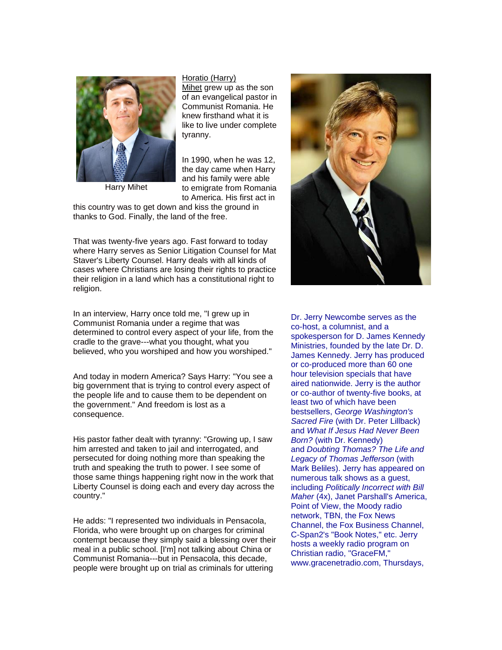

Harry Mihet

#### [Horatio \(Harry\)](http://www.jerrynewcombe.com/vocal-point-harry-mihet/)

[Mihet](http://www.jerrynewcombe.com/vocal-point-harry-mihet/) grew up as the son of an evangelical pastor in Communist Romania. He knew firsthand what it is like to live under complete tyranny.

In 1990, when he was 12, the day came when Harry and his family were able to emigrate from Romania to America. His first act in

this country was to get down and kiss the ground in thanks to God. Finally, the land of the free.

That was twenty-five years ago. Fast forward to today where Harry serves as Senior Litigation Counsel for Mat Staver's Liberty Counsel. Harry deals with all kinds of cases where Christians are losing their rights to practice their religion in a land which has a constitutional right to religion.

In an interview, Harry once told me, "I grew up in Communist Romania under a regime that was determined to control every aspect of your life, from the cradle to the grave---what you thought, what you believed, who you worshiped and how you worshiped."

And today in modern America? Says Harry: "You see a big government that is trying to control every aspect of the people life and to cause them to be dependent on the government." And freedom is lost as a consequence.

His pastor father dealt with tyranny: "Growing up, I saw him arrested and taken to jail and interrogated, and persecuted for doing nothing more than speaking the truth and speaking the truth to power. I see some of those same things happening right now in the work that Liberty Counsel is doing each and every day across the country."

He adds: "I represented two individuals in Pensacola, Florida, who were brought up on charges for criminal contempt because they simply said a blessing over their meal in a public school. [I'm] not talking about China or Communist Romania---but in Pensacola, this decade, people were brought up on trial as criminals for uttering



Dr. Jerry Newcombe serves as the co-host, a columnist, and a spokesperson for D. James Kennedy Ministries, founded by the late Dr. D. James Kennedy. Jerry has produced or co-produced more than 60 one hour television specials that have aired nationwide. Jerry is the author or co-author of twenty-five books, at least two of which have been bestsellers, *George Washington's Sacred Fire* (with Dr. Peter Lillback) and *What If Jesus Had Never Been Born?* (with Dr. Kennedy) and *Doubting Thomas? The Life and Legacy of Thomas Jefferson* (with Mark Beliles). Jerry has appeared on numerous talk shows as a guest, including *Politically Incorrect with Bill Maher* (4x), Janet Parshall's America, Point of View, the Moody radio network, TBN, the Fox News Channel, the Fox Business Channel, C-Span2's "Book Notes," etc. Jerry hosts a weekly radio program on Christian radio, "GraceFM," www.gracenetradio.com, Thursdays,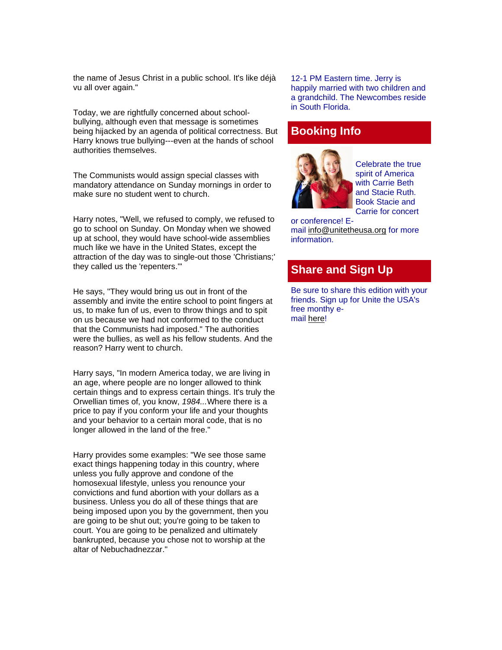the name of Jesus Christ in a public school. It's like déjà vu all over again."

Today, we are rightfully concerned about schoolbullying, although even that message is sometimes being hijacked by an agenda of political correctness. But Harry knows true bullying---even at the hands of school authorities themselves.

The Communists would assign special classes with mandatory attendance on Sunday mornings in order to make sure no student went to church.

Harry notes, "Well, we refused to comply, we refused to go to school on Sunday. On Monday when we showed up at school, they would have school-wide assemblies much like we have in the United States, except the attraction of the day was to single-out those 'Christians;' they called us the 'repenters.'"

He says, "They would bring us out in front of the assembly and invite the entire school to point fingers at us, to make fun of us, even to throw things and to spit on us because we had not conformed to the conduct that the Communists had imposed." The authorities were the bullies, as well as his fellow students. And the reason? Harry went to church.

Harry says, "In modern America today, we are living in an age, where people are no longer allowed to think certain things and to express certain things. It's truly the Orwellian times of, you know, *1984...*Where there is a price to pay if you conform your life and your thoughts and your behavior to a certain moral code, that is no longer allowed in the land of the free."

Harry provides some examples: "We see those same exact things happening today in this country, where unless you fully approve and condone of the homosexual lifestyle, unless you renounce your convictions and fund abortion with your dollars as a business. Unless you do all of these things that are being imposed upon you by the government, then you are going to be shut out; you're going to be taken to court. You are going to be penalized and ultimately bankrupted, because you chose not to worship at the altar of Nebuchadnezzar."

12-1 PM Eastern time. Jerry is happily married with two children and a grandchild. The Newcombes reside in South Florida.

### **Booking Info**



Celebrate the true spirit of America with Carrie Beth and Stacie Ruth. Book Stacie and Carrie for concert

or conference! Email [info@unitetheusa.org](mailto:info@unitetheusa.org) for more information.

# **Share and Sign Up**

Be sure to share this edition with your friends. Sign up for Unite the USA's free monthy email [here!](http://unitetheusa.org/id2.html)